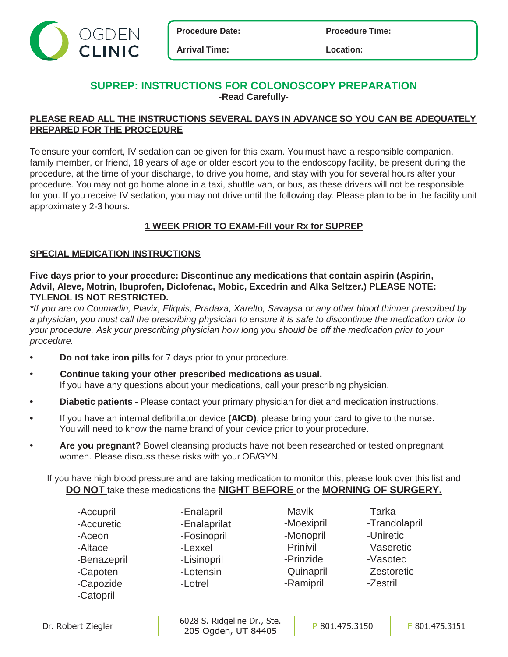



**Arrival Time: Location:**

## **SUPREP: INSTRUCTIONS FOR COLONOSCOPY PREPARATION -Read Carefully-**

## **PLEASE READ ALL THE INSTRUCTIONS SEVERAL DAYS IN ADVANCE SO YOU CAN BE ADEQUATELY PREPARED FOR THE PROCEDURE**

To ensure your comfort, IV sedation can be given for this exam. You must have a responsible companion, family member, or friend, 18 years of age or older escort you to the endoscopy facility, be present during the procedure, at the time of your discharge, to drive you home, and stay with you for several hours after your procedure. You may not go home alone in a taxi, shuttle van, or bus, as these drivers will not be responsible for you. If you receive IV sedation, you may not drive until the following day. Please plan to be in the facility unit approximately 2-3 hours.

## **1 WEEK PRIOR TO EXAM-Fill your Rx for SUPREP**

## **SPECIAL MEDICATION INSTRUCTIONS**

**Five days prior to your procedure: Discontinue any medications that contain aspirin (Aspirin, Advil, Aleve, Motrin, Ibuprofen, Diclofenac, Mobic, Excedrin and Alka Seltzer.) PLEASE NOTE: TYLENOL IS NOT RESTRICTED.**

*\*If you are on Coumadin, Plavix, Eliquis, Pradaxa, Xarelto, Savaysa or any other blood thinner prescribed by a physician, you must call the prescribing physician to ensure it is safe to discontinue the medication prior to your procedure. Ask your prescribing physician how long you should be off the medication prior to your procedure.* 

- **• Do not take iron pills** for 7 days prior to your procedure.
- **• Continue taking your other prescribed medications as usual.** If you have any questions about your medications, call your prescribing physician.
- **• Diabetic patients** Please contact your primary physician for diet and medication instructions.
- **•** If you have an internal defibrillator device **(AICD)**, please bring your card to give to the nurse. You will need to know the name brand of your device prior to your procedure.
- **• Are you pregnant?** Bowel cleansing products have not been researched or tested on pregnant women. Please discuss these risks with your OB/GYN.

If you have high blood pressure and are taking medication to monitor this, please look over this list and **DO NOT** take these medications the **NIGHT BEFORE** or the **MORNING OF SURGERY.**

|  | -Accupril<br>-Accuretic<br>-Aceon<br>-Altace<br>-Benazepril<br>-Capoten<br>-Capozide<br>-Catopril | -Enalapril<br>-Enalaprilat<br>-Fosinopril<br>-Lexxel<br>-Lisinopril<br>-Lotensin<br>-Lotrel | -Mavik<br>-Moexipril<br>-Monopril<br>-Prinivil<br>-Prinzide<br>-Quinapril<br>-Ramipril | -Tarka<br>-Trandolapril<br>-Uniretic<br>-Vaseretic<br>-Vasotec<br>-Zestoretic<br>-Zestril |
|--|---------------------------------------------------------------------------------------------------|---------------------------------------------------------------------------------------------|----------------------------------------------------------------------------------------|-------------------------------------------------------------------------------------------|
|--|---------------------------------------------------------------------------------------------------|---------------------------------------------------------------------------------------------|----------------------------------------------------------------------------------------|-------------------------------------------------------------------------------------------|